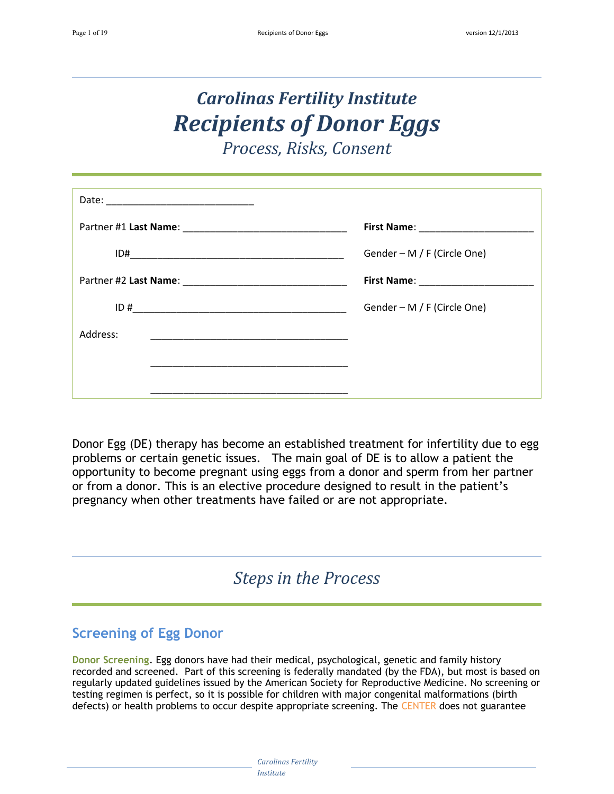# *Carolinas Fertility Institute Recipients of Donor Eggs*

*Process, Risks, Consent*

|          | ID# | Gender - M / F (Circle One) |
|----------|-----|-----------------------------|
|          |     |                             |
|          |     | Gender – M / F (Circle One) |
| Address: |     |                             |
|          |     |                             |
|          |     |                             |

Donor Egg (DE) therapy has become an established treatment for infertility due to egg problems or certain genetic issues. The main goal of DE is to allow a patient the opportunity to become pregnant using eggs from a donor and sperm from her partner or from a donor. This is an elective procedure designed to result in the patient's pregnancy when other treatments have failed or are not appropriate.

*Steps in the Process*

## **Screening of Egg Donor**

**Donor Screening**. Egg donors have had their medical, psychological, genetic and family history recorded and screened. Part of this screening is federally mandated (by the FDA), but most is based on regularly updated guidelines issued by the American Society for Reproductive Medicine. No screening or testing regimen is perfect, so it is possible for children with major congenital malformations (birth defects) or health problems to occur despite appropriate screening. The CENTER does not guarantee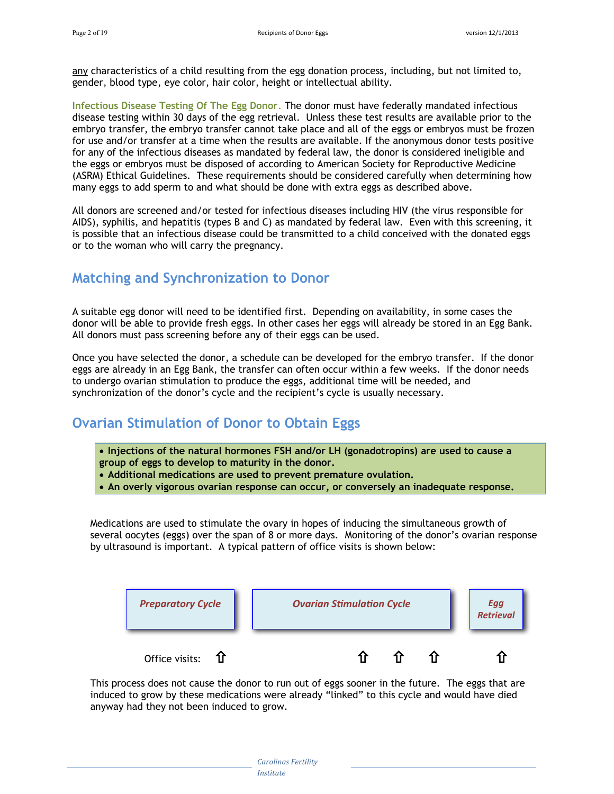any characteristics of a child resulting from the egg donation process, including, but not limited to, gender, blood type, eye color, hair color, height or intellectual ability.

**Infectious Disease Testing Of The Egg Donor**. The donor must have federally mandated infectious disease testing within 30 days of the egg retrieval. Unless these test results are available prior to the embryo transfer, the embryo transfer cannot take place and all of the eggs or embryos must be frozen for use and/or transfer at a time when the results are available. If the anonymous donor tests positive for any of the infectious diseases as mandated by federal law, the donor is considered ineligible and the eggs or embryos must be disposed of according to American Society for Reproductive Medicine (ASRM) Ethical Guidelines. These requirements should be considered carefully when determining how many eggs to add sperm to and what should be done with extra eggs as described above.

All donors are screened and/or tested for infectious diseases including HIV (the virus responsible for AIDS), syphilis, and hepatitis (types B and C) as mandated by federal law. Even with this screening, it is possible that an infectious disease could be transmitted to a child conceived with the donated eggs or to the woman who will carry the pregnancy.

## **Matching and Synchronization to Donor**

A suitable egg donor will need to be identified first. Depending on availability, in some cases the donor will be able to provide fresh eggs. In other cases her eggs will already be stored in an Egg Bank. All donors must pass screening before any of their eggs can be used.

Once you have selected the donor, a schedule can be developed for the embryo transfer. If the donor eggs are already in an Egg Bank, the transfer can often occur within a few weeks. If the donor needs to undergo ovarian stimulation to produce the eggs, additional time will be needed, and synchronization of the donor's cycle and the recipient's cycle is usually necessary.

## **Ovarian Stimulation of Donor to Obtain Eggs**

- **Injections of the natural hormones FSH and/or LH (gonadotropins) are used to cause a group of eggs to develop to maturity in the donor.**
- **Additional medications are used to prevent premature ovulation.**
- **An overly vigorous ovarian response can occur, or conversely an inadequate response.**

Medications are used to stimulate the ovary in hopes of inducing the simultaneous growth of several oocytes (eggs) over the span of 8 or more days. Monitoring of the donor's ovarian response by ultrasound is important. A typical pattern of office visits is shown below:



This process does not cause the donor to run out of eggs sooner in the future. The eggs that are induced to grow by these medications were already "linked" to this cycle and would have died anyway had they not been induced to grow.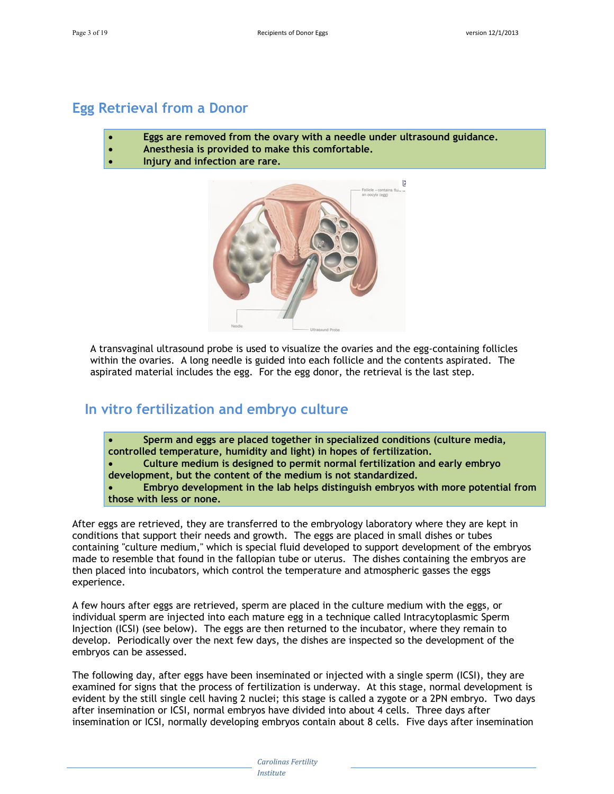### **Egg Retrieval from a Donor**

- **Eggs are removed from the ovary with a needle under ultrasound guidance.**
- **Anesthesia is provided to make this comfortable.**
- **Injury and infection are rare.**



A transvaginal ultrasound probe is used to visualize the ovaries and the egg-containing follicles within the ovaries. A long needle is guided into each follicle and the contents aspirated. The aspirated material includes the egg. For the egg donor, the retrieval is the last step.

## **In vitro fertilization and embryo culture**

- **Sperm and eggs are placed together in specialized conditions (culture media, controlled temperature, humidity and light) in hopes of fertilization.**
- **Culture medium is designed to permit normal fertilization and early embryo development, but the content of the medium is not standardized.**
- **Embryo development in the lab helps distinguish embryos with more potential from those with less or none.**

After eggs are retrieved, they are transferred to the embryology laboratory where they are kept in conditions that support their needs and growth. The eggs are placed in small dishes or tubes containing "culture medium," which is special fluid developed to support development of the embryos made to resemble that found in the fallopian tube or uterus. The dishes containing the embryos are then placed into incubators, which control the temperature and atmospheric gasses the eggs experience.

A few hours after eggs are retrieved, sperm are placed in the culture medium with the eggs, or individual sperm are injected into each mature egg in a technique called Intracytoplasmic Sperm Injection (ICSI) (see below). The eggs are then returned to the incubator, where they remain to develop. Periodically over the next few days, the dishes are inspected so the development of the embryos can be assessed.

The following day, after eggs have been inseminated or injected with a single sperm (ICSI), they are examined for signs that the process of fertilization is underway. At this stage, normal development is evident by the still single cell having 2 nuclei; this stage is called a zygote or a 2PN embryo. Two days after insemination or ICSI, normal embryos have divided into about 4 cells. Three days after insemination or ICSI, normally developing embryos contain about 8 cells. Five days after insemination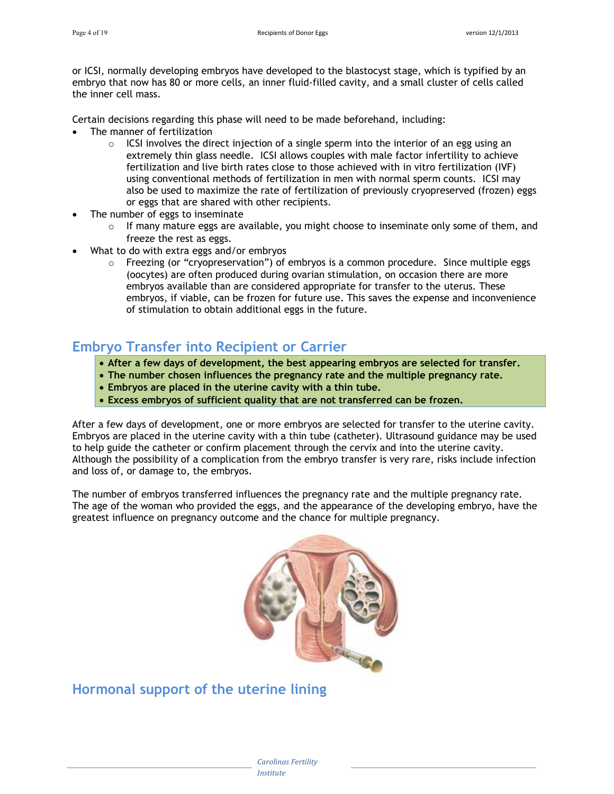or ICSI, normally developing embryos have developed to the blastocyst stage, which is typified by an embryo that now has 80 or more cells, an inner fluid-filled cavity, and a small cluster of cells called the inner cell mass.

Certain decisions regarding this phase will need to be made beforehand, including:

- The manner of fertilization
	- $\circ$  ICSI involves the direct injection of a single sperm into the interior of an egg using an extremely thin glass needle. ICSI allows couples with male factor infertility to achieve fertilization and live birth rates close to those achieved with in vitro fertilization (IVF) using conventional methods of fertilization in men with normal sperm counts. ICSI may also be used to maximize the rate of fertilization of previously cryopreserved (frozen) eggs or eggs that are shared with other recipients.
- The number of eggs to inseminate
	- $\circ$  If many mature eggs are available, you might choose to inseminate only some of them, and freeze the rest as eggs.
- What to do with extra eggs and/or embryos
	- $\circ$  Freezing (or "cryopreservation") of embryos is a common procedure. Since multiple eggs (oocytes) are often produced during ovarian stimulation, on occasion there are more embryos available than are considered appropriate for transfer to the uterus. These embryos, if viable, can be frozen for future use. This saves the expense and inconvenience of stimulation to obtain additional eggs in the future.

## **Embryo Transfer into Recipient or Carrier**

- **After a few days of development, the best appearing embryos are selected for transfer.**
- **The number chosen influences the pregnancy rate and the multiple pregnancy rate.**
- **Embryos are placed in the uterine cavity with a thin tube.**
- **Excess embryos of sufficient quality that are not transferred can be frozen.**

After a few days of development, one or more embryos are selected for transfer to the uterine cavity. Embryos are placed in the uterine cavity with a thin tube (catheter). Ultrasound guidance may be used to help guide the catheter or confirm placement through the cervix and into the uterine cavity. Although the possibility of a complication from the embryo transfer is very rare, risks include infection and loss of, or damage to, the embryos.

The number of embryos transferred influences the pregnancy rate and the multiple pregnancy rate. The age of the woman who provided the eggs, and the appearance of the developing embryo, have the greatest influence on pregnancy outcome and the chance for multiple pregnancy.



**Hormonal support of the uterine lining**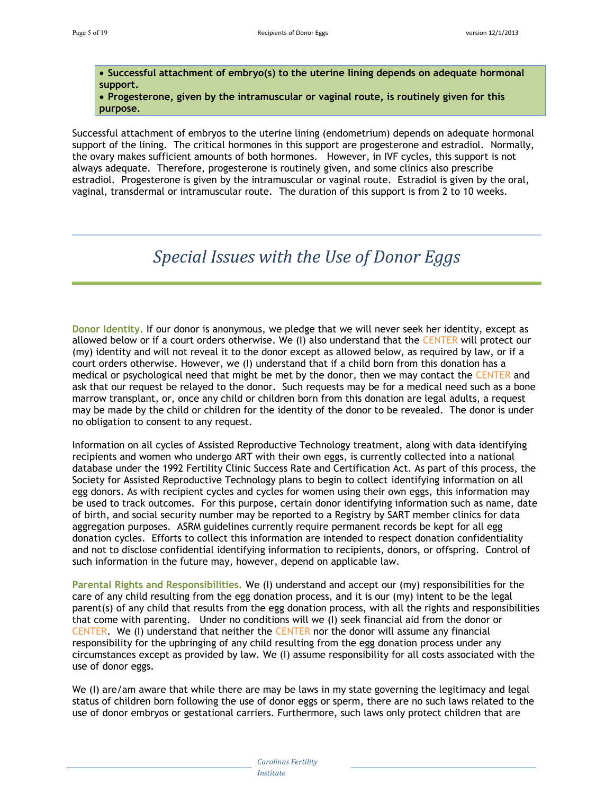**Successful attachment of embryo(s) to the uterine lining depends on adequate hormonal support.** 

 **Progesterone, given by the intramuscular or vaginal route, is routinely given for this purpose.** 

Successful attachment of embryos to the uterine lining (endometrium) depends on adequate hormonal support of the lining. The critical hormones in this support are progesterone and estradiol. Normally, the ovary makes sufficient amounts of both hormones. However, in IVF cycles, this support is not always adequate. Therefore, progesterone is routinely given, and some clinics also prescribe estradiol. Progesterone is given by the intramuscular or vaginal route. Estradiol is given by the oral, vaginal, transdermal or intramuscular route. The duration of this support is from 2 to 10 weeks.

## *Special Issues with the Use of Donor Eggs*

**Donor Identity.** If our donor is anonymous, we pledge that we will never seek her identity, except as allowed below or if a court orders otherwise. We (I) also understand that the CENTER will protect our (my) identity and will not reveal it to the donor except as allowed below, as required by law, or if a court orders otherwise. However, we (I) understand that if a child born from this donation has a medical or psychological need that might be met by the donor, then we may contact the CENTER and ask that our request be relayed to the donor. Such requests may be for a medical need such as a bone marrow transplant, or, once any child or children born from this donation are legal adults, a request may be made by the child or children for the identity of the donor to be revealed. The donor is under no obligation to consent to any request.

Information on all cycles of Assisted Reproductive Technology treatment, along with data identifying recipients and women who undergo ART with their own eggs, is currently collected into a national database under the 1992 Fertility Clinic Success Rate and Certification Act. As part of this process, the Society for Assisted Reproductive Technology plans to begin to collect identifying information on all egg donors. As with recipient cycles and cycles for women using their own eggs, this information may be used to track outcomes. For this purpose, certain donor identifying information such as name, date of birth, and social security number may be reported to a Registry by SART member clinics for data aggregation purposes. ASRM guidelines currently require permanent records be kept for all egg donation cycles. Efforts to collect this information are intended to respect donation confidentiality and not to disclose confidential identifying information to recipients, donors, or offspring. Control of such information in the future may, however, depend on applicable law.

**Parental Rights and Responsibilities.** We (I) understand and accept our (my) responsibilities for the care of any child resulting from the egg donation process, and it is our (my) intent to be the legal parent(s) of any child that results from the egg donation process, with all the rights and responsibilities that come with parenting. Under no conditions will we (I) seek financial aid from the donor or CENTER. We (I) understand that neither the CENTER nor the donor will assume any financial responsibility for the upbringing of any child resulting from the egg donation process under any circumstances except as provided by law. We (I) assume responsibility for all costs associated with the use of donor eggs.

We (I) are/am aware that while there are may be laws in my state governing the legitimacy and legal status of children born following the use of donor eggs or sperm, there are no such laws related to the use of donor embryos or gestational carriers. Furthermore, such laws only protect children that are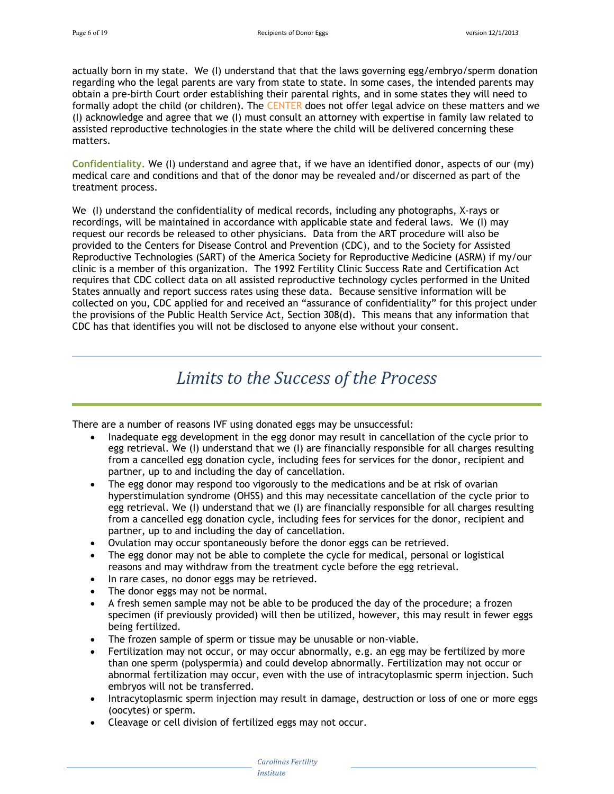actually born in my state. We (I) understand that that the laws governing egg/embryo/sperm donation regarding who the legal parents are vary from state to state. In some cases, the intended parents may obtain a pre-birth Court order establishing their parental rights, and in some states they will need to formally adopt the child (or children). The CENTER does not offer legal advice on these matters and we (I) acknowledge and agree that we (I) must consult an attorney with expertise in family law related to assisted reproductive technologies in the state where the child will be delivered concerning these matters.

**Confidentiality.** We (I) understand and agree that, if we have an identified donor, aspects of our (my) medical care and conditions and that of the donor may be revealed and/or discerned as part of the treatment process.

We (I) understand the confidentiality of medical records, including any photographs, X-rays or recordings, will be maintained in accordance with applicable state and federal laws. We (I) may request our records be released to other physicians. Data from the ART procedure will also be provided to the Centers for Disease Control and Prevention (CDC), and to the Society for Assisted Reproductive Technologies (SART) of the America Society for Reproductive Medicine (ASRM) if my/our clinic is a member of this organization. The 1992 Fertility Clinic Success Rate and Certification Act requires that CDC collect data on all assisted reproductive technology cycles performed in the United States annually and report success rates using these data. Because sensitive information will be collected on you, CDC applied for and received an "assurance of confidentiality" for this project under the provisions of the Public Health Service Act, Section 308(d). This means that any information that CDC has that identifies you will not be disclosed to anyone else without your consent.

## *Limits to the Success of the Process*

There are a number of reasons IVF using donated eggs may be unsuccessful:

- Inadequate egg development in the egg donor may result in cancellation of the cycle prior to egg retrieval. We (I) understand that we (I) are financially responsible for all charges resulting from a cancelled egg donation cycle, including fees for services for the donor, recipient and partner, up to and including the day of cancellation.
- The egg donor may respond too vigorously to the medications and be at risk of ovarian hyperstimulation syndrome (OHSS) and this may necessitate cancellation of the cycle prior to egg retrieval. We (I) understand that we (I) are financially responsible for all charges resulting from a cancelled egg donation cycle, including fees for services for the donor, recipient and partner, up to and including the day of cancellation.
- Ovulation may occur spontaneously before the donor eggs can be retrieved.
- The egg donor may not be able to complete the cycle for medical, personal or logistical reasons and may withdraw from the treatment cycle before the egg retrieval.
- In rare cases, no donor eggs may be retrieved.
- The donor eggs may not be normal.
- A fresh semen sample may not be able to be produced the day of the procedure; a frozen specimen (if previously provided) will then be utilized, however, this may result in fewer eggs being fertilized.
- The frozen sample of sperm or tissue may be unusable or non-viable.
- Fertilization may not occur, or may occur abnormally, e.g. an egg may be fertilized by more than one sperm (polyspermia) and could develop abnormally. Fertilization may not occur or abnormal fertilization may occur, even with the use of intracytoplasmic sperm injection. Such embryos will not be transferred.
- Intracytoplasmic sperm injection may result in damage, destruction or loss of one or more eggs (oocytes) or sperm.
- Cleavage or cell division of fertilized eggs may not occur.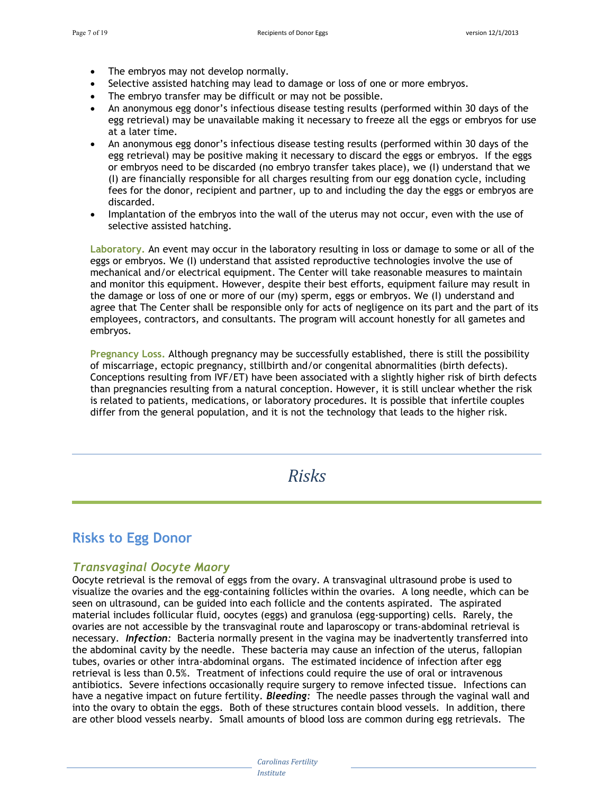- The embryos may not develop normally.
- Selective assisted hatching may lead to damage or loss of one or more embryos.
- The embryo transfer may be difficult or may not be possible.
- An anonymous egg donor's infectious disease testing results (performed within 30 days of the egg retrieval) may be unavailable making it necessary to freeze all the eggs or embryos for use at a later time.
- An anonymous egg donor's infectious disease testing results (performed within 30 days of the egg retrieval) may be positive making it necessary to discard the eggs or embryos. If the eggs or embryos need to be discarded (no embryo transfer takes place), we (I) understand that we (I) are financially responsible for all charges resulting from our egg donation cycle, including fees for the donor, recipient and partner, up to and including the day the eggs or embryos are discarded.
- Implantation of the embryos into the wall of the uterus may not occur, even with the use of selective assisted hatching.

**Laboratory.** An event may occur in the laboratory resulting in loss or damage to some or all of the eggs or embryos. We (I) understand that assisted reproductive technologies involve the use of mechanical and/or electrical equipment. The Center will take reasonable measures to maintain and monitor this equipment. However, despite their best efforts, equipment failure may result in the damage or loss of one or more of our (my) sperm, eggs or embryos. We (I) understand and agree that The Center shall be responsible only for acts of negligence on its part and the part of its employees, contractors, and consultants. The program will account honestly for all gametes and embryos.

**Pregnancy Loss.** Although pregnancy may be successfully established, there is still the possibility of miscarriage, ectopic pregnancy, stillbirth and/or congenital abnormalities (birth defects). Conceptions resulting from IVF/ET) have been associated with a slightly higher risk of birth defects than pregnancies resulting from a natural conception. However, it is still unclear whether the risk is related to patients, medications, or laboratory procedures. It is possible that infertile couples differ from the general population, and it is not the technology that leads to the higher risk.

*Risks*

## **Risks to Egg Donor**

#### *Transvaginal Oocyte Maory*

Oocyte retrieval is the removal of eggs from the ovary. A transvaginal ultrasound probe is used to visualize the ovaries and the egg-containing follicles within the ovaries. A long needle, which can be seen on ultrasound, can be guided into each follicle and the contents aspirated. The aspirated material includes follicular fluid, oocytes (eggs) and granulosa (egg-supporting) cells. Rarely, the ovaries are not accessible by the transvaginal route and laparoscopy or trans-abdominal retrieval is necessary. *Infection:* Bacteria normally present in the vagina may be inadvertently transferred into the abdominal cavity by the needle. These bacteria may cause an infection of the uterus, fallopian tubes, ovaries or other intra-abdominal organs. The estimated incidence of infection after egg retrieval is less than 0.5%. Treatment of infections could require the use of oral or intravenous antibiotics. Severe infections occasionally require surgery to remove infected tissue. Infections can have a negative impact on future fertility. *Bleeding:* The needle passes through the vaginal wall and into the ovary to obtain the eggs. Both of these structures contain blood vessels. In addition, there are other blood vessels nearby. Small amounts of blood loss are common during egg retrievals. The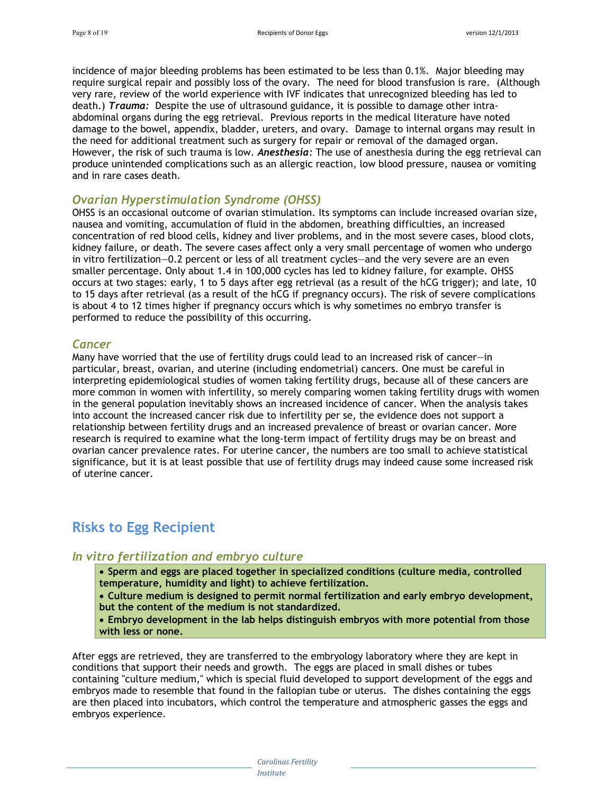incidence of major bleeding problems has been estimated to be less than 0.1%. Major bleeding may require surgical repair and possibly loss of the ovary. The need for blood transfusion is rare. (Although very rare, review of the world experience with IVF indicates that unrecognized bleeding has led to death.) *Trauma:* Despite the use of ultrasound guidance, it is possible to damage other intraabdominal organs during the egg retrieval. Previous reports in the medical literature have noted damage to the bowel, appendix, bladder, ureters, and ovary. Damage to internal organs may result in the need for additional treatment such as surgery for repair or removal of the damaged organ. However, the risk of such trauma is low. *Anesthesia:* The use of anesthesia during the egg retrieval can produce unintended complications such as an allergic reaction, low blood pressure, nausea or vomiting and in rare cases death.

#### *Ovarian Hyperstimulation Syndrome (OHSS)*

OHSS is an occasional outcome of ovarian stimulation. Its symptoms can include increased ovarian size, nausea and vomiting, accumulation of fluid in the abdomen, breathing difficulties, an increased concentration of red blood cells, kidney and liver problems, and in the most severe cases, blood clots, kidney failure, or death. The severe cases affect only a very small percentage of women who undergo in vitro fertilization—0.2 percent or less of all treatment cycles—and the very severe are an even smaller percentage. Only about 1.4 in 100,000 cycles has led to kidney failure, for example. OHSS occurs at two stages: early, 1 to 5 days after egg retrieval (as a result of the hCG trigger); and late, 10 to 15 days after retrieval (as a result of the hCG if pregnancy occurs). The risk of severe complications is about 4 to 12 times higher if pregnancy occurs which is why sometimes no embryo transfer is performed to reduce the possibility of this occurring.

#### *Cancer*

Many have worried that the use of fertility drugs could lead to an increased risk of cancer—in particular, breast, ovarian, and uterine (including endometrial) cancers. One must be careful in interpreting epidemiological studies of women taking fertility drugs, because all of these cancers are more common in women with infertility, so merely comparing women taking fertility drugs with women in the general population inevitably shows an increased incidence of cancer. When the analysis takes into account the increased cancer risk due to infertility per se, the evidence does not support a relationship between fertility drugs and an increased prevalence of breast or ovarian cancer. More research is required to examine what the long-term impact of fertility drugs may be on breast and ovarian cancer prevalence rates. For uterine cancer, the numbers are too small to achieve statistical significance, but it is at least possible that use of fertility drugs may indeed cause some increased risk of uterine cancer.

#### **Risks to Egg Recipient**

#### *In vitro fertilization and embryo culture*

 **Sperm and eggs are placed together in specialized conditions (culture media, controlled temperature, humidity and light) to achieve fertilization.** 

 **Culture medium is designed to permit normal fertilization and early embryo development, but the content of the medium is not standardized.**

 **Embryo development in the lab helps distinguish embryos with more potential from those with less or none.** 

After eggs are retrieved, they are transferred to the embryology laboratory where they are kept in conditions that support their needs and growth. The eggs are placed in small dishes or tubes containing "culture medium," which is special fluid developed to support development of the eggs and embryos made to resemble that found in the fallopian tube or uterus. The dishes containing the eggs are then placed into incubators, which control the temperature and atmospheric gasses the eggs and embryos experience.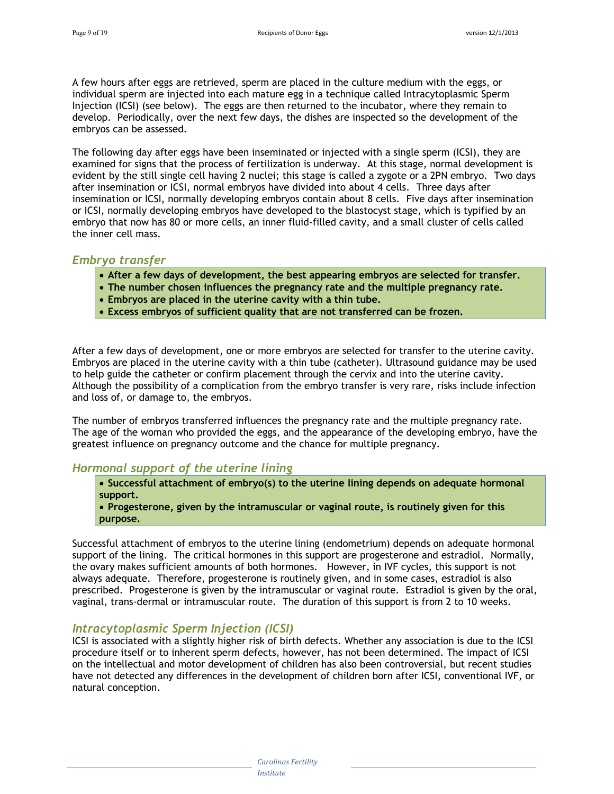A few hours after eggs are retrieved, sperm are placed in the culture medium with the eggs, or individual sperm are injected into each mature egg in a technique called Intracytoplasmic Sperm Injection (ICSI) (see below). The eggs are then returned to the incubator, where they remain to develop. Periodically, over the next few days, the dishes are inspected so the development of the embryos can be assessed.

The following day after eggs have been inseminated or injected with a single sperm (ICSI), they are examined for signs that the process of fertilization is underway. At this stage, normal development is evident by the still single cell having 2 nuclei; this stage is called a zygote or a 2PN embryo. Two days after insemination or ICSI, normal embryos have divided into about 4 cells. Three days after insemination or ICSI, normally developing embryos contain about 8 cells. Five days after insemination or ICSI, normally developing embryos have developed to the blastocyst stage, which is typified by an embryo that now has 80 or more cells, an inner fluid-filled cavity, and a small cluster of cells called the inner cell mass.

#### *Embryo transfer*

- **After a few days of development, the best appearing embryos are selected for transfer.**
- **The number chosen influences the pregnancy rate and the multiple pregnancy rate.**
- **Embryos are placed in the uterine cavity with a thin tube.**
- **Excess embryos of sufficient quality that are not transferred can be frozen.**

After a few days of development, one or more embryos are selected for transfer to the uterine cavity. Embryos are placed in the uterine cavity with a thin tube (catheter). Ultrasound guidance may be used to help guide the catheter or confirm placement through the cervix and into the uterine cavity. Although the possibility of a complication from the embryo transfer is very rare, risks include infection and loss of, or damage to, the embryos.

The number of embryos transferred influences the pregnancy rate and the multiple pregnancy rate. The age of the woman who provided the eggs, and the appearance of the developing embryo, have the greatest influence on pregnancy outcome and the chance for multiple pregnancy.

#### *Hormonal support of the uterine lining*

 **Successful attachment of embryo(s) to the uterine lining depends on adequate hormonal support.** 

 **Progesterone, given by the intramuscular or vaginal route, is routinely given for this purpose.** 

Successful attachment of embryos to the uterine lining (endometrium) depends on adequate hormonal support of the lining. The critical hormones in this support are progesterone and estradiol. Normally, the ovary makes sufficient amounts of both hormones. However, in IVF cycles, this support is not always adequate. Therefore, progesterone is routinely given, and in some cases, estradiol is also prescribed. Progesterone is given by the intramuscular or vaginal route. Estradiol is given by the oral, vaginal, trans-dermal or intramuscular route. The duration of this support is from 2 to 10 weeks.

#### *Intracytoplasmic Sperm Injection (ICSI)*

ICSI is associated with a slightly higher risk of birth defects. Whether any association is due to the ICSI procedure itself or to inherent sperm defects, however, has not been determined. The impact of ICSI on the intellectual and motor development of children has also been controversial, but recent studies have not detected any differences in the development of children born after ICSI, conventional IVF, or natural conception.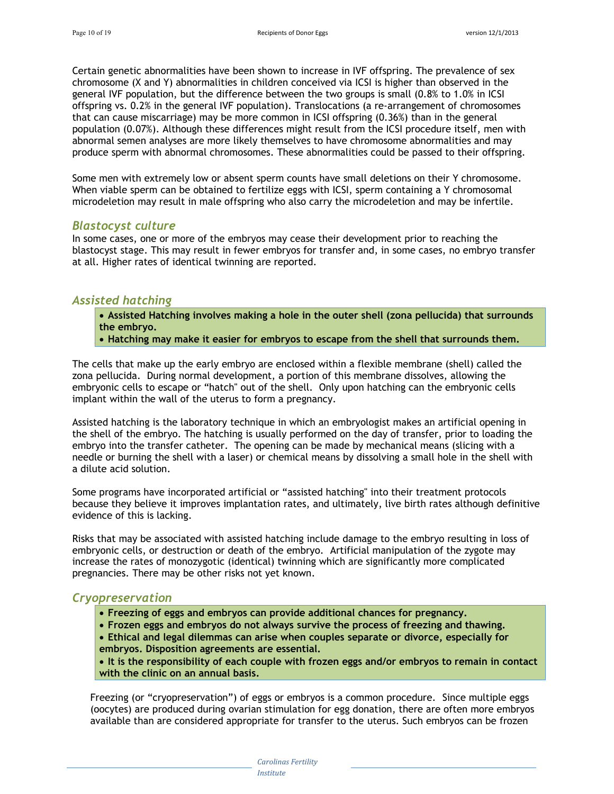Certain genetic abnormalities have been shown to increase in IVF offspring. The prevalence of sex chromosome (X and Y) abnormalities in children conceived via ICSI is higher than observed in the general IVF population, but the difference between the two groups is small (0.8% to 1.0% in ICSI offspring vs. 0.2% in the general IVF population). Translocations (a re-arrangement of chromosomes that can cause miscarriage) may be more common in ICSI offspring (0.36%) than in the general population (0.07%). Although these differences might result from the ICSI procedure itself, men with abnormal semen analyses are more likely themselves to have chromosome abnormalities and may produce sperm with abnormal chromosomes. These abnormalities could be passed to their offspring.

Some men with extremely low or absent sperm counts have small deletions on their Y chromosome. When viable sperm can be obtained to fertilize eggs with ICSI, sperm containing a Y chromosomal microdeletion may result in male offspring who also carry the microdeletion and may be infertile.

#### *Blastocyst culture*

In some cases, one or more of the embryos may cease their development prior to reaching the blastocyst stage. This may result in fewer embryos for transfer and, in some cases, no embryo transfer at all. Higher rates of identical twinning are reported.

#### *Assisted hatching*

 **Assisted Hatching involves making a hole in the outer shell (zona pellucida) that surrounds the embryo.** 

**Hatching may make it easier for embryos to escape from the shell that surrounds them.**

The cells that make up the early embryo are enclosed within a flexible membrane (shell) called the zona pellucida. During normal development, a portion of this membrane dissolves, allowing the embryonic cells to escape or "hatch" out of the shell. Only upon hatching can the embryonic cells implant within the wall of the uterus to form a pregnancy.

Assisted hatching is the laboratory technique in which an embryologist makes an artificial opening in the shell of the embryo. The hatching is usually performed on the day of transfer, prior to loading the embryo into the transfer catheter. The opening can be made by mechanical means (slicing with a needle or burning the shell with a laser) or chemical means by dissolving a small hole in the shell with a dilute acid solution.

Some programs have incorporated artificial or "assisted hatching" into their treatment protocols because they believe it improves implantation rates, and ultimately, live birth rates although definitive evidence of this is lacking.

Risks that may be associated with assisted hatching include damage to the embryo resulting in loss of embryonic cells, or destruction or death of the embryo. Artificial manipulation of the zygote may increase the rates of monozygotic (identical) twinning which are significantly more complicated pregnancies. There may be other risks not yet known.

#### *Cryopreservation*

- **Freezing of eggs and embryos can provide additional chances for pregnancy.**
- **Frozen eggs and embryos do not always survive the process of freezing and thawing.**
- **Ethical and legal dilemmas can arise when couples separate or divorce, especially for embryos. Disposition agreements are essential.**

 **It is the responsibility of each couple with frozen eggs and/or embryos to remain in contact with the clinic on an annual basis.**

Freezing (or "cryopreservation") of eggs or embryos is a common procedure. Since multiple eggs (oocytes) are produced during ovarian stimulation for egg donation, there are often more embryos available than are considered appropriate for transfer to the uterus. Such embryos can be frozen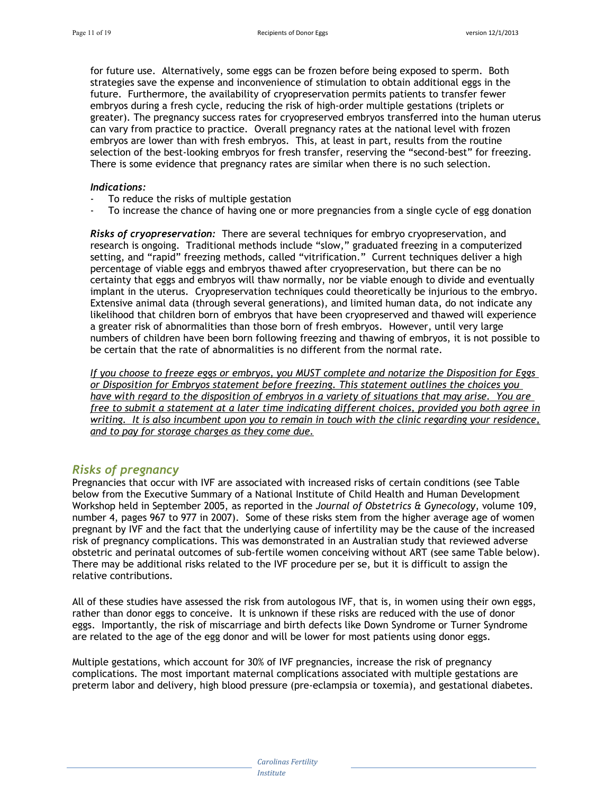for future use. Alternatively, some eggs can be frozen before being exposed to sperm. Both strategies save the expense and inconvenience of stimulation to obtain additional eggs in the future. Furthermore, the availability of cryopreservation permits patients to transfer fewer embryos during a fresh cycle, reducing the risk of high-order multiple gestations (triplets or greater). The pregnancy success rates for cryopreserved embryos transferred into the human uterus can vary from practice to practice. Overall pregnancy rates at the national level with frozen embryos are lower than with fresh embryos. This, at least in part, results from the routine selection of the best-looking embryos for fresh transfer, reserving the "second-best" for freezing. There is some evidence that pregnancy rates are similar when there is no such selection.

#### *Indications:*

- To reduce the risks of multiple gestation
- To increase the chance of having one or more pregnancies from a single cycle of egg donation

*Risks of cryopreservation:* There are several techniques for embryo cryopreservation, and research is ongoing. Traditional methods include "slow," graduated freezing in a computerized setting, and "rapid" freezing methods, called "vitrification." Current techniques deliver a high percentage of viable eggs and embryos thawed after cryopreservation, but there can be no certainty that eggs and embryos will thaw normally, nor be viable enough to divide and eventually implant in the uterus. Cryopreservation techniques could theoretically be injurious to the embryo. Extensive animal data (through several generations), and limited human data, do not indicate any likelihood that children born of embryos that have been cryopreserved and thawed will experience a greater risk of abnormalities than those born of fresh embryos. However, until very large numbers of children have been born following freezing and thawing of embryos, it is not possible to be certain that the rate of abnormalities is no different from the normal rate.

*If you choose to freeze eggs or embryos, you MUST complete and notarize the Disposition for Eggs or Disposition for Embryos statement before freezing. This statement outlines the choices you have with regard to the disposition of embryos in a variety of situations that may arise. You are free to submit a statement at a later time indicating different choices, provided you both agree in writing. It is also incumbent upon you to remain in touch with the clinic regarding your residence, and to pay for storage charges as they come due.*

#### *Risks of pregnancy*

Pregnancies that occur with IVF are associated with increased risks of certain conditions (see Table below from the Executive Summary of a National Institute of Child Health and Human Development Workshop held in September 2005, as reported in the *Journal of Obstetrics & Gynecology*, volume 109, number 4, pages 967 to 977 in 2007). Some of these risks stem from the higher average age of women pregnant by IVF and the fact that the underlying cause of infertility may be the cause of the increased risk of pregnancy complications. This was demonstrated in an Australian study that reviewed adverse obstetric and perinatal outcomes of sub-fertile women conceiving without ART (see same Table below). There may be additional risks related to the IVF procedure per se, but it is difficult to assign the relative contributions.

All of these studies have assessed the risk from autologous IVF, that is, in women using their own eggs, rather than donor eggs to conceive. It is unknown if these risks are reduced with the use of donor eggs. Importantly, the risk of miscarriage and birth defects like Down Syndrome or Turner Syndrome are related to the age of the egg donor and will be lower for most patients using donor eggs.

Multiple gestations, which account for 30% of IVF pregnancies, increase the risk of pregnancy complications. The most important maternal complications associated with multiple gestations are preterm labor and delivery, high blood pressure (pre-eclampsia or toxemia), and gestational diabetes.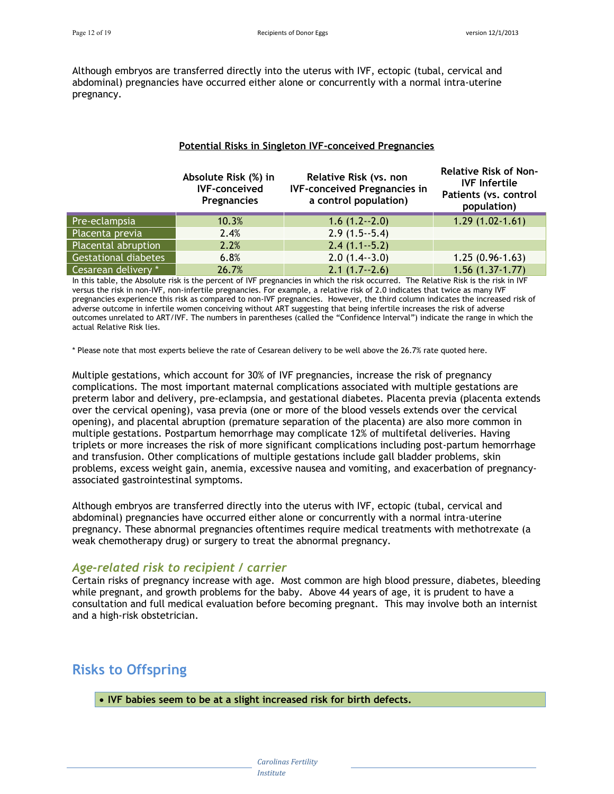Although embryos are transferred directly into the uterus with IVF, ectopic (tubal, cervical and abdominal) pregnancies have occurred either alone or concurrently with a normal intra-uterine pregnancy.

#### **Potential Risks in Singleton IVF-conceived Pregnancies**

|                             | Absolute Risk (%) in<br><b>IVF-conceived</b><br><b>Pregnancies</b> | Relative Risk (vs. non<br><b>IVF-conceived Pregnancies in</b><br>a control population) | <b>Relative Risk of Non-</b><br><b>IVF</b> Infertile<br>Patients (vs. control<br>population) |
|-----------------------------|--------------------------------------------------------------------|----------------------------------------------------------------------------------------|----------------------------------------------------------------------------------------------|
| Pre-eclampsia               | 10.3%                                                              | $1.6(1.2-2.0)$                                                                         | $1.29(1.02-1.61)$                                                                            |
| Placenta previa             | 2.4%                                                               | $2.9(1.5-5.4)$                                                                         |                                                                                              |
| Placental abruption         | 2.2%                                                               | $2.4(1.1-5.2)$                                                                         |                                                                                              |
| <b>Gestational diabetes</b> | 6.8%                                                               | $2.0(1.4-3.0)$                                                                         | $1.25(0.96-1.63)$                                                                            |
| Cesarean delivery *         | 26.7%                                                              | $2.1(1.7-2.6)$                                                                         | $1.56(1.37-1.77)$                                                                            |

In this table, the Absolute risk is the percent of IVF pregnancies in which the risk occurred. The Relative Risk is the risk in IVF versus the risk in non-IVF, non-infertile pregnancies. For example, a relative risk of 2.0 indicates that twice as many IVF pregnancies experience this risk as compared to non-IVF pregnancies. However, the third column indicates the increased risk of adverse outcome in infertile women conceiving without ART suggesting that being infertile increases the risk of adverse outcomes unrelated to ART/IVF. The numbers in parentheses (called the "Confidence Interval") indicate the range in which the actual Relative Risk lies.

\* Please note that most experts believe the rate of Cesarean delivery to be well above the 26.7% rate quoted here.

Multiple gestations, which account for 30% of IVF pregnancies, increase the risk of pregnancy complications. The most important maternal complications associated with multiple gestations are preterm labor and delivery, pre-eclampsia, and gestational diabetes. Placenta previa (placenta extends over the cervical opening), vasa previa (one or more of the blood vessels extends over the cervical opening), and placental abruption (premature separation of the placenta) are also more common in multiple gestations. Postpartum hemorrhage may complicate 12% of multifetal deliveries. Having triplets or more increases the risk of more significant complications including post-partum hemorrhage and transfusion. Other complications of multiple gestations include gall bladder problems, skin problems, excess weight gain, anemia, excessive nausea and vomiting, and exacerbation of pregnancyassociated gastrointestinal symptoms.

Although embryos are transferred directly into the uterus with IVF, ectopic (tubal, cervical and abdominal) pregnancies have occurred either alone or concurrently with a normal intra-uterine pregnancy. These abnormal pregnancies oftentimes require medical treatments with methotrexate (a weak chemotherapy drug) or surgery to treat the abnormal pregnancy.

#### *Age-related risk to recipient / carrier*

Certain risks of pregnancy increase with age. Most common are high blood pressure, diabetes, bleeding while pregnant, and growth problems for the baby. Above 44 years of age, it is prudent to have a consultation and full medical evaluation before becoming pregnant. This may involve both an internist and a high-risk obstetrician.

## **Risks to Offspring**

**IVF babies seem to be at a slight increased risk for birth defects.**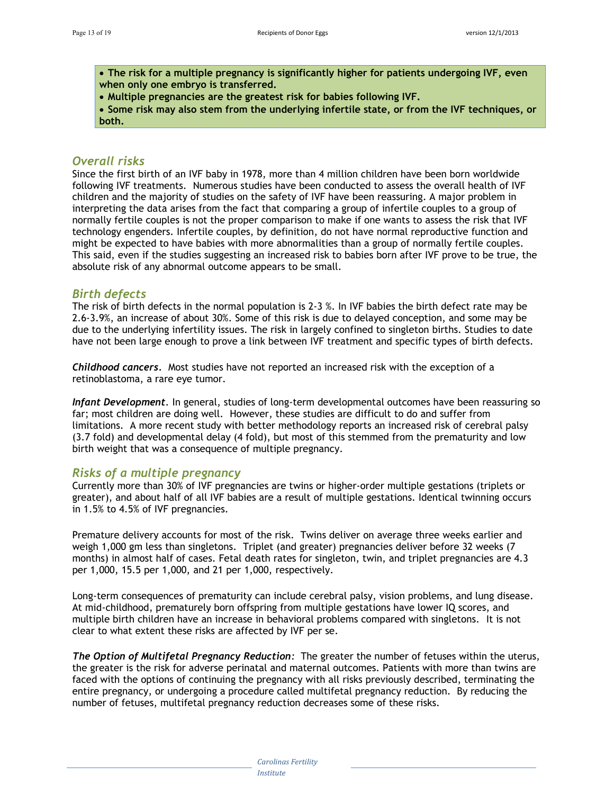**The risk for a multiple pregnancy is significantly higher for patients undergoing IVF, even when only one embryo is transferred.** 

**Multiple pregnancies are the greatest risk for babies following IVF.** 

 **Some risk may also stem from the underlying infertile state, or from the IVF techniques, or both.** 

#### *Overall risks*

Since the first birth of an IVF baby in 1978, more than 4 million children have been born worldwide following IVF treatments. Numerous studies have been conducted to assess the overall health of IVF children and the majority of studies on the safety of IVF have been reassuring. A major problem in interpreting the data arises from the fact that comparing a group of infertile couples to a group of normally fertile couples is not the proper comparison to make if one wants to assess the risk that IVF technology engenders. Infertile couples, by definition, do not have normal reproductive function and might be expected to have babies with more abnormalities than a group of normally fertile couples. This said, even if the studies suggesting an increased risk to babies born after IVF prove to be true, the absolute risk of any abnormal outcome appears to be small.

#### *Birth defects*

The risk of birth defects in the normal population is 2-3 %. In IVF babies the birth defect rate may be 2.6-3.9%, an increase of about 30%. Some of this risk is due to delayed conception, and some may be due to the underlying infertility issues. The risk in largely confined to singleton births. Studies to date have not been large enough to prove a link between IVF treatment and specific types of birth defects.

*Childhood cancers.* Most studies have not reported an increased risk with the exception of a retinoblastoma, a rare eye tumor.

*Infant Development.* In general, studies of long-term developmental outcomes have been reassuring so far; most children are doing well. However, these studies are difficult to do and suffer from limitations. A more recent study with better methodology reports an increased risk of cerebral palsy (3.7 fold) and developmental delay (4 fold), but most of this stemmed from the prematurity and low birth weight that was a consequence of multiple pregnancy.

#### *Risks of a multiple pregnancy*

Currently more than 30% of IVF pregnancies are twins or higher-order multiple gestations (triplets or greater), and about half of all IVF babies are a result of multiple gestations. Identical twinning occurs in 1.5% to 4.5% of IVF pregnancies.

Premature delivery accounts for most of the risk. Twins deliver on average three weeks earlier and weigh 1,000 gm less than singletons. Triplet (and greater) pregnancies deliver before 32 weeks (7 months) in almost half of cases. Fetal death rates for singleton, twin, and triplet pregnancies are 4.3 per 1,000, 15.5 per 1,000, and 21 per 1,000, respectively.

Long-term consequences of prematurity can include cerebral palsy, vision problems, and lung disease. At mid-childhood, prematurely born offspring from multiple gestations have lower IQ scores, and multiple birth children have an increase in behavioral problems compared with singletons. It is not clear to what extent these risks are affected by IVF per se.

*The Option of Multifetal Pregnancy Reduction:* The greater the number of fetuses within the uterus, the greater is the risk for adverse perinatal and maternal outcomes. Patients with more than twins are faced with the options of continuing the pregnancy with all risks previously described, terminating the entire pregnancy, or undergoing a procedure called multifetal pregnancy reduction. By reducing the number of fetuses, multifetal pregnancy reduction decreases some of these risks.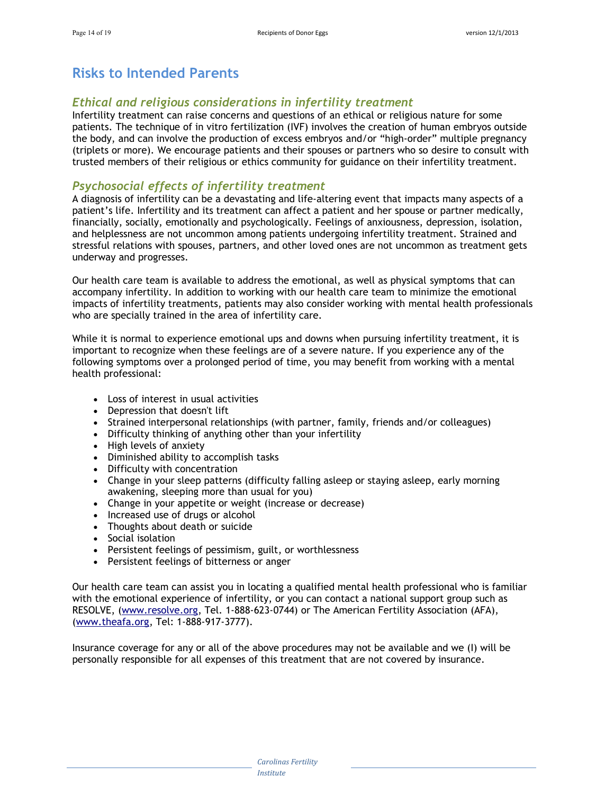## **Risks to Intended Parents**

#### *Ethical and religious considerations in infertility treatment*

Infertility treatment can raise concerns and questions of an ethical or religious nature for some patients. The technique of in vitro fertilization (IVF) involves the creation of human embryos outside the body, and can involve the production of excess embryos and/or "high-order" multiple pregnancy (triplets or more). We encourage patients and their spouses or partners who so desire to consult with trusted members of their religious or ethics community for guidance on their infertility treatment.

#### *Psychosocial effects of infertility treatment*

A diagnosis of infertility can be a devastating and life-altering event that impacts many aspects of a patient's life. Infertility and its treatment can affect a patient and her spouse or partner medically, financially, socially, emotionally and psychologically. Feelings of anxiousness, depression, isolation, and helplessness are not uncommon among patients undergoing infertility treatment. Strained and stressful relations with spouses, partners, and other loved ones are not uncommon as treatment gets underway and progresses.

Our health care team is available to address the emotional, as well as physical symptoms that can accompany infertility. In addition to working with our health care team to minimize the emotional impacts of infertility treatments, patients may also consider working with mental health professionals who are specially trained in the area of infertility care.

While it is normal to experience emotional ups and downs when pursuing infertility treatment, it is important to recognize when these feelings are of a severe nature. If you experience any of the following symptoms over a prolonged period of time, you may benefit from working with a mental health professional:

- Loss of interest in usual activities
- Depression that doesn't lift
- Strained interpersonal relationships (with partner, family, friends and/or colleagues)
- Difficulty thinking of anything other than your infertility
- High levels of anxiety
- Diminished ability to accomplish tasks
- Difficulty with concentration
- Change in your sleep patterns (difficulty falling asleep or staying asleep, early morning awakening, sleeping more than usual for you)
- Change in your appetite or weight (increase or decrease)
- Increased use of drugs or alcohol
- Thoughts about death or suicide
- Social isolation
- Persistent feelings of pessimism, guilt, or worthlessness
- Persistent feelings of bitterness or anger

Our health care team can assist you in locating a qualified mental health professional who is familiar with the emotional experience of infertility, or you can contact a national support group such as RESOLVE, [\(www.resolve.org](http://www.resolve.org/), Tel. 1-888-623-0744) or The American Fertility Association (AFA), ([www.theafa.org,](http://www.theafa.org/) Tel: 1-888-917-3777).

Insurance coverage for any or all of the above procedures may not be available and we (I) will be personally responsible for all expenses of this treatment that are not covered by insurance.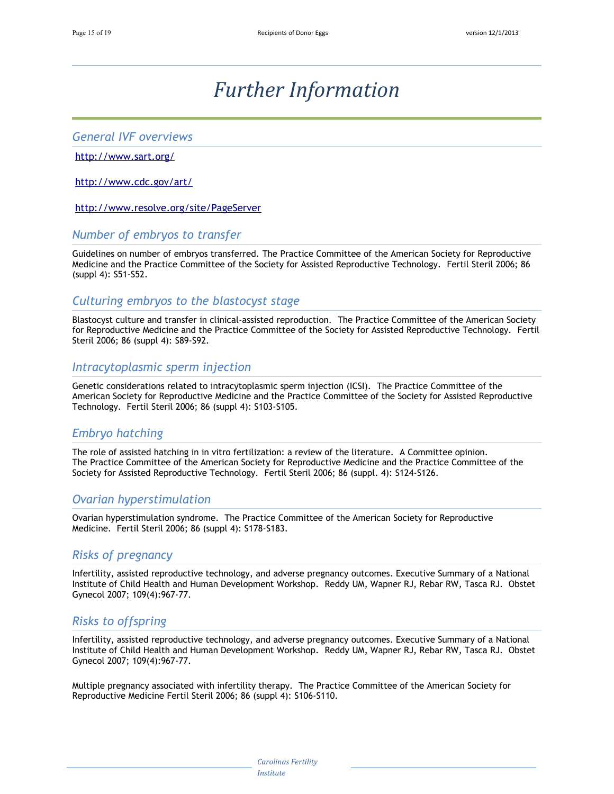## *Further Information*

#### *General IVF overviews*

#### <http://www.sart.org/>

<http://www.cdc.gov/art/>

<http://www.resolve.org/site/PageServer>

#### *Number of embryos to transfer*

Guidelines on number of embryos transferred. The Practice Committee of the American Society for Reproductive Medicine and the Practice Committee of the Society for Assisted Reproductive Technology. Fertil Steril 2006; 86 (suppl 4): S51-S52.

#### *Culturing embryos to the blastocyst stage*

Blastocyst culture and transfer in clinical-assisted reproduction. The Practice Committee of the American Society for Reproductive Medicine and the Practice Committee of the Society for Assisted Reproductive Technology. Fertil Steril 2006; 86 (suppl 4): S89-S92.

#### *Intracytoplasmic sperm injection*

Genetic considerations related to intracytoplasmic sperm injection (ICSI). The Practice Committee of the American Society for Reproductive Medicine and the Practice Committee of the Society for Assisted Reproductive Technology. Fertil Steril 2006; 86 (suppl 4): S103-S105.

#### *Embryo hatching*

The role of assisted hatching in in vitro fertilization: a review of the literature. A Committee opinion. The Practice Committee of the American Society for Reproductive Medicine and the Practice Committee of the Society for Assisted Reproductive Technology. Fertil Steril 2006; 86 (suppl. 4): S124-S126.

#### *Ovarian hyperstimulation*

Ovarian hyperstimulation syndrome. The Practice Committee of the American Society for Reproductive Medicine. Fertil Steril 2006; 86 (suppl 4): S178-S183.

#### *Risks of pregnancy*

Infertility, assisted reproductive technology, and adverse pregnancy outcomes. Executive Summary of a National Institute of Child Health and Human Development Workshop. Reddy UM, Wapner RJ, Rebar RW, Tasca RJ. Obstet Gynecol 2007; 109(4):967-77.

#### *Risks to offspring*

Infertility, assisted reproductive technology, and adverse pregnancy outcomes. Executive Summary of a National Institute of Child Health and Human Development Workshop. Reddy UM, Wapner RJ, Rebar RW, Tasca RJ. Obstet Gynecol 2007; 109(4):967-77.

Multiple pregnancy associated with infertility therapy. The Practice Committee of the American Society for Reproductive Medicine Fertil Steril 2006; 86 (suppl 4): S106-S110.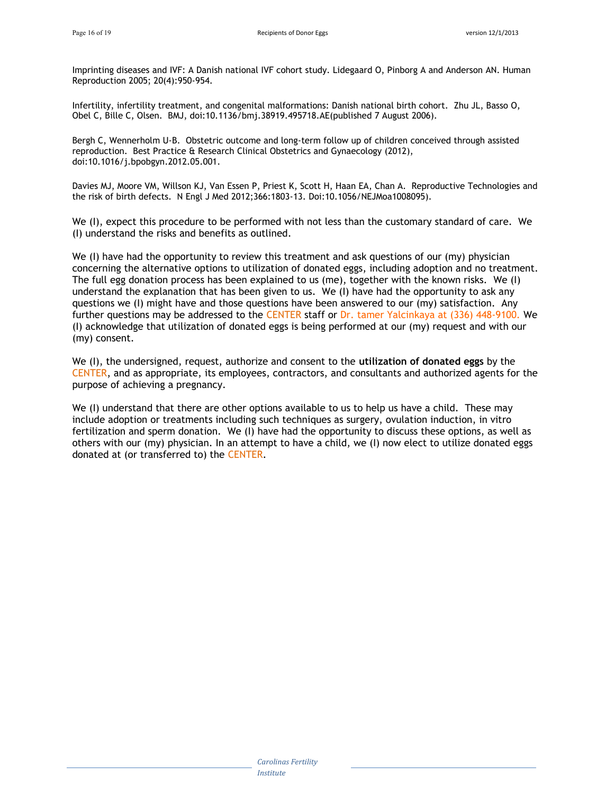Imprinting diseases and IVF: A Danish national IVF cohort study. Lidegaard O, Pinborg A and Anderson AN. Human Reproduction 2005; 20(4):950-954.

Infertility, infertility treatment, and congenital malformations: Danish national birth cohort. Zhu JL, Basso O, Obel C, Bille C, Olsen. BMJ, doi:10.1136/bmj.38919.495718.AE(published 7 August 2006).

Bergh C, Wennerholm U-B. Obstetric outcome and long-term follow up of children conceived through assisted reproduction. Best Practice & Research Clinical Obstetrics and Gynaecology (2012), doi:10.1016/j.bpobgyn.2012.05.001.

Davies MJ, Moore VM, Willson KJ, Van Essen P, Priest K, Scott H, Haan EA, Chan A. Reproductive Technologies and the risk of birth defects. N Engl J Med 2012;366:1803-13. Doi:10.1056/NEJMoa1008095).

We (I), expect this procedure to be performed with not less than the customary standard of care. We (I) understand the risks and benefits as outlined.

We (I) have had the opportunity to review this treatment and ask questions of our (my) physician concerning the alternative options to utilization of donated eggs, including adoption and no treatment. The full egg donation process has been explained to us (me), together with the known risks. We (I) understand the explanation that has been given to us. We (I) have had the opportunity to ask any questions we (I) might have and those questions have been answered to our (my) satisfaction. Any further questions may be addressed to the CENTER staff or Dr. tamer Yalcinkaya at (336) 448-9100. We (I) acknowledge that utilization of donated eggs is being performed at our (my) request and with our (my) consent.

We (I), the undersigned, request, authorize and consent to the **utilization of donated eggs** by the CENTER, and as appropriate, its employees, contractors, and consultants and authorized agents for the purpose of achieving a pregnancy.

We (I) understand that there are other options available to us to help us have a child. These may include adoption or treatments including such techniques as surgery, ovulation induction, in vitro fertilization and sperm donation. We (I) have had the opportunity to discuss these options, as well as others with our (my) physician. In an attempt to have a child, we (I) now elect to utilize donated eggs donated at (or transferred to) the CENTER.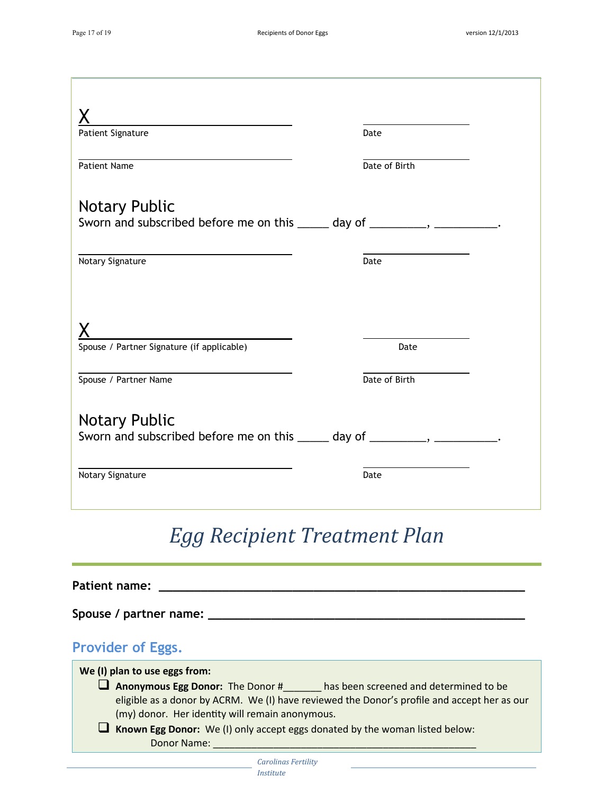| <u> 1980 - Johann Barn, mars an t-Amerikaansk politiker (</u>                |                                                      |
|------------------------------------------------------------------------------|------------------------------------------------------|
| Patient Signature                                                            | Date                                                 |
| Patient Name                                                                 | Date of Birth                                        |
| <b>Notary Public</b>                                                         |                                                      |
| Sworn and subscribed before me on this ______ day of _________, __________.  |                                                      |
| Notary Signature                                                             | the control of the control of the control of<br>Date |
|                                                                              |                                                      |
|                                                                              |                                                      |
| Spouse / Partner Signature (if applicable)                                   | Date                                                 |
| Spouse / Partner Name                                                        | Date of Birth                                        |
| <b>Notary Public</b>                                                         |                                                      |
| Sworn and subscribed before me on this ______ day of _________, ___________. |                                                      |
| Notary Signature                                                             | Date                                                 |
|                                                                              |                                                      |

# *Egg Recipient Treatment Plan*

| Patient name:                                                                                                                                                                                                                                                                                                                                                          |
|------------------------------------------------------------------------------------------------------------------------------------------------------------------------------------------------------------------------------------------------------------------------------------------------------------------------------------------------------------------------|
| Spouse / partner name:                                                                                                                                                                                                                                                                                                                                                 |
| <b>Provider of Eggs.</b>                                                                                                                                                                                                                                                                                                                                               |
| We (I) plan to use eggs from:<br><b>Anonymous Egg Donor:</b> The Donor # has been screened and determined to be<br>eligible as a donor by ACRM. We (I) have reviewed the Donor's profile and accept her as our<br>(my) donor. Her identity will remain anonymous.<br><b>Known Egg Donor:</b> We (I) only accept eggs donated by the woman listed below:<br>Donor Name: |
| Carolinas Fertility                                                                                                                                                                                                                                                                                                                                                    |

*Institute*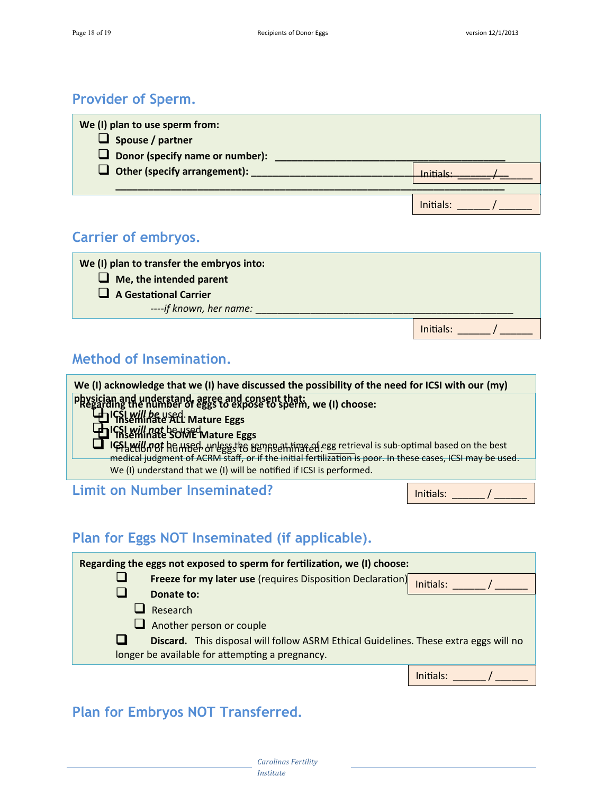Initials:  $\frac{1}{2}$ 

## **Provider of Sperm.**

| We (I) plan to use sperm from:<br>$\Box$ Spouse / partner<br>$\Box$ Donor (specify name or number): |           |
|-----------------------------------------------------------------------------------------------------|-----------|
| $\Box$ Other (specify arrangement):                                                                 | Initiale' |
|                                                                                                     | Initials: |

## **Carrier of embryos.**

| We (I) plan to transfer the embryos into: |
|-------------------------------------------|
| $\Box$ Me, the intended parent            |
| $\Box$ A Gestational Carrier              |
| ----if known, her name:                   |

## **Method of Insemination.**

| We (I) acknowledge that we (I) have discussed the possibility of the need for ICSI with our (my)                                                      |           |
|-------------------------------------------------------------------------------------------------------------------------------------------------------|-----------|
| physician and understand, agree and consent that:<br>PRegarding the number of eggs to expose to sperm, we (I) choose:                                 |           |
| HIGSL will be used Mature Eggs                                                                                                                        |           |
| <b>Hunger Will not be used Mature Eggs</b><br><b>IGSLAHUL TOF HE HISPS</b> or less the Benne entingted egg retrieval is sub-optimal based on the best |           |
| medical judgment of ACRM staff, or if the initial fertilization is poor. In these cases, ICSI may be used.                                            |           |
| We (I) understand that we (I) will be notified if ICSI is performed.                                                                                  |           |
| <b>Limit on Number Inseminated?</b>                                                                                                                   | Initials: |

## **Plan for Eggs NOT Inseminated (if applicable).**

| Regarding the eggs not exposed to sperm for fertilization, we (I) choose: |                                                                                                                                         |              |
|---------------------------------------------------------------------------|-----------------------------------------------------------------------------------------------------------------------------------------|--------------|
|                                                                           | Freeze for my later use (requires Disposition Declaration)                                                                              | Initials:    |
|                                                                           | Donate to:                                                                                                                              |              |
|                                                                           | Research                                                                                                                                |              |
|                                                                           | $\Box$ Another person or couple                                                                                                         |              |
|                                                                           | Discard. This disposal will follow ASRM Ethical Guidelines. These extra eggs will no<br>longer be available for attempting a pregnancy. |              |
|                                                                           |                                                                                                                                         | $In$ itials: |

## **Plan for Embryos NOT Transferred.**